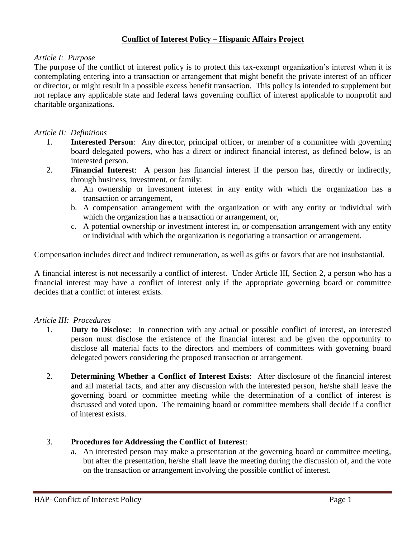## **Conflict of Interest Policy – Hispanic Affairs Project**

### *Article I: Purpose*

The purpose of the conflict of interest policy is to protect this tax-exempt organization's interest when it is contemplating entering into a transaction or arrangement that might benefit the private interest of an officer or director, or might result in a possible excess benefit transaction. This policy is intended to supplement but not replace any applicable state and federal laws governing conflict of interest applicable to nonprofit and charitable organizations.

### *Article II: Definitions*

- 1. **Interested Person**: Any director, principal officer, or member of a committee with governing board delegated powers, who has a direct or indirect financial interest, as defined below, is an interested person.
- 2. **Financial Interest**: A person has financial interest if the person has, directly or indirectly, through business, investment, or family:
	- a. An ownership or investment interest in any entity with which the organization has a transaction or arrangement,
	- b. A compensation arrangement with the organization or with any entity or individual with which the organization has a transaction or arrangement, or,
	- c. A potential ownership or investment interest in, or compensation arrangement with any entity or individual with which the organization is negotiating a transaction or arrangement.

Compensation includes direct and indirect remuneration, as well as gifts or favors that are not insubstantial.

A financial interest is not necessarily a conflict of interest. Under Article III, Section 2, a person who has a financial interest may have a conflict of interest only if the appropriate governing board or committee decides that a conflict of interest exists.

#### *Article III: Procedures*

- 1. **Duty to Disclose**: In connection with any actual or possible conflict of interest, an interested person must disclose the existence of the financial interest and be given the opportunity to disclose all material facts to the directors and members of committees with governing board delegated powers considering the proposed transaction or arrangement.
- 2. **Determining Whether a Conflict of Interest Exists**: After disclosure of the financial interest and all material facts, and after any discussion with the interested person, he/she shall leave the governing board or committee meeting while the determination of a conflict of interest is discussed and voted upon. The remaining board or committee members shall decide if a conflict of interest exists.

## 3. **Procedures for Addressing the Conflict of Interest**:

a. An interested person may make a presentation at the governing board or committee meeting, but after the presentation, he/she shall leave the meeting during the discussion of, and the vote on the transaction or arrangement involving the possible conflict of interest.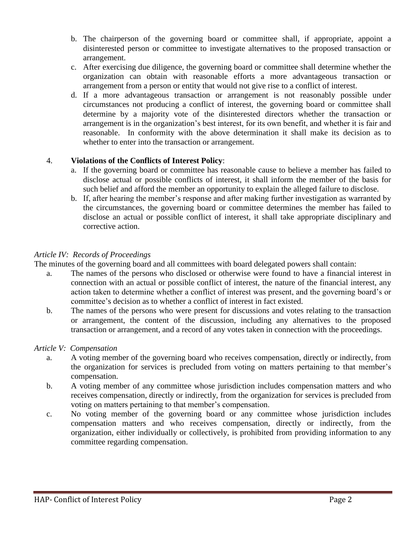- b. The chairperson of the governing board or committee shall, if appropriate, appoint a disinterested person or committee to investigate alternatives to the proposed transaction or arrangement.
- c. After exercising due diligence, the governing board or committee shall determine whether the organization can obtain with reasonable efforts a more advantageous transaction or arrangement from a person or entity that would not give rise to a conflict of interest.
- d. If a more advantageous transaction or arrangement is not reasonably possible under circumstances not producing a conflict of interest, the governing board or committee shall determine by a majority vote of the disinterested directors whether the transaction or arrangement is in the organization's best interest, for its own benefit, and whether it is fair and reasonable. In conformity with the above determination it shall make its decision as to whether to enter into the transaction or arrangement.

# 4. **Violations of the Conflicts of Interest Policy**:

- a. If the governing board or committee has reasonable cause to believe a member has failed to disclose actual or possible conflicts of interest, it shall inform the member of the basis for such belief and afford the member an opportunity to explain the alleged failure to disclose.
- b. If, after hearing the member's response and after making further investigation as warranted by the circumstances, the governing board or committee determines the member has failed to disclose an actual or possible conflict of interest, it shall take appropriate disciplinary and corrective action.

## *Article IV: Records of Proceedings*

The minutes of the governing board and all committees with board delegated powers shall contain:

- a. The names of the persons who disclosed or otherwise were found to have a financial interest in connection with an actual or possible conflict of interest, the nature of the financial interest, any action taken to determine whether a conflict of interest was present, and the governing board's or committee's decision as to whether a conflict of interest in fact existed.
- b. The names of the persons who were present for discussions and votes relating to the transaction or arrangement, the content of the discussion, including any alternatives to the proposed transaction or arrangement, and a record of any votes taken in connection with the proceedings.

#### *Article V: Compensation*

- a. A voting member of the governing board who receives compensation, directly or indirectly, from the organization for services is precluded from voting on matters pertaining to that member's compensation.
- b. A voting member of any committee whose jurisdiction includes compensation matters and who receives compensation, directly or indirectly, from the organization for services is precluded from voting on matters pertaining to that member's compensation.
- c. No voting member of the governing board or any committee whose jurisdiction includes compensation matters and who receives compensation, directly or indirectly, from the organization, either individually or collectively, is prohibited from providing information to any committee regarding compensation.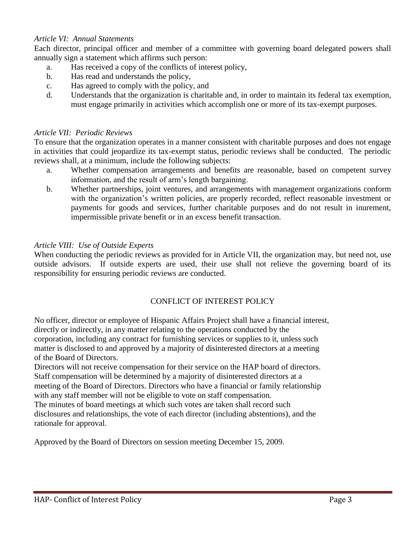### *Article VI: Annual Statements*

Each director, principal officer and member of a committee with governing board delegated powers shall annually sign a statement which affirms such person:

- a. Has received a copy of the conflicts of interest policy,
- b. Has read and understands the policy,
- c. Has agreed to comply with the policy, and
- d. Understands that the organization is charitable and, in order to maintain its federal tax exemption, must engage primarily in activities which accomplish one or more of its tax-exempt purposes.

## *Article VII: Periodic Reviews*

To ensure that the organization operates in a manner consistent with charitable purposes and does not engage in activities that could jeopardize its tax-exempt status, periodic reviews shall be conducted. The periodic reviews shall, at a minimum, include the following subjects:

- a. Whether compensation arrangements and benefits are reasonable, based on competent survey information, and the result of arm's length bargaining.
- b. Whether partnerships, joint ventures, and arrangements with management organizations conform with the organization's written policies, are properly recorded, reflect reasonable investment or payments for goods and services, further charitable purposes and do not result in inurement, impermissible private benefit or in an excess benefit transaction.

### *Article VIII: Use of Outside Experts*

When conducting the periodic reviews as provided for in Article VII, the organization may, but need not, use outside advisors. If outside experts are used, their use shall not relieve the governing board of its responsibility for ensuring periodic reviews are conducted.

## CONFLICT OF INTEREST POLICY

No officer, director or employee of Hispanic Affairs Project shall have a financial interest, directly or indirectly, in any matter relating to the operations conducted by the corporation, including any contract for furnishing services or supplies to it, unless such matter is disclosed to and approved by a majority of disinterested directors at a meeting of the Board of Directors.

Directors will not receive compensation for their service on the HAP board of directors. Staff compensation will be determined by a majority of disinterested directors at a meeting of the Board of Directors. Directors who have a financial or family relationship with any staff member will not be eligible to vote on staff compensation. The minutes of board meetings at which such votes are taken shall record such disclosures and relationships, the vote of each director (including abstentions), and the rationale for approval.

Approved by the Board of Directors on session meeting December 15, 2009.